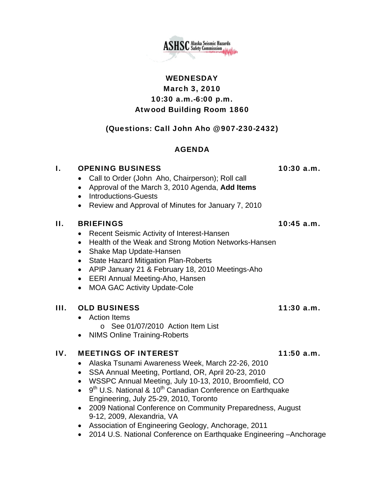**ASHSC** Alaska Seismic Hazards

# WEDNESDAY March 3, 2010 10:30 a.m.-6:00 p.m. Atwood Building Room 1860

# (Questions: Call John Aho @ 907-230-2432)

# AGENDA

## I. OPENING BUSINESS 10:30 a.m.

- Call to Order (John Aho, Chairperson); Roll call
- Approval of the March 3, 2010 Agenda, **Add Items**
- Introductions-Guests
- Review and Approval of Minutes for January 7, 2010

## II. BRIEFINGS 10:45 a.m.

- Recent Seismic Activity of Interest-Hansen
- Health of the Weak and Strong Motion Networks-Hansen
- Shake Map Update-Hansen
- State Hazard Mitigation Plan-Roberts
- APIP January 21 & February 18, 2010 Meetings-Aho
- EERI Annual Meeting-Aho, Hansen
- MOA GAC Activity Update-Cole

# III. OLD BUSINESS 11:30 a.m.

- Action Items o See 01/07/2010 Action Item List
- NIMS Online Training-Roberts

# IV. MEETINGS OF INTEREST 11:50 a.m.

- Alaska Tsunami Awareness Week, March 22-26, 2010
- SSA Annual Meeting, Portland, OR, April 20-23, 2010
- WSSPC Annual Meeting, July 10-13, 2010, Broomfield, CO
- $\bullet$  9<sup>th</sup> U.S. National & 10<sup>th</sup> Canadian Conference on Earthquake Engineering, July 25-29, 2010, Toronto
- 2009 National Conference on Community Preparedness, August 9-12, 2009, Alexandria, VA
- Association of Engineering Geology, Anchorage, 2011
- 2014 U.S. National Conference on Earthquake Engineering –Anchorage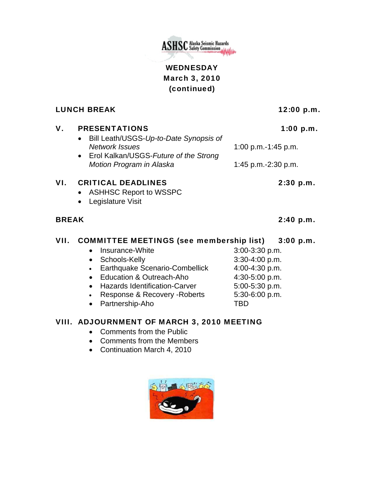

# WEDNESDAY March 3, 2010 (continued)

LUNCH BREAK 12:00 p.m.

| V.           | <b>PRESENTATIONS</b><br>Bill Leath/USGS-Up-to-Date Synopsis of<br>$\bullet$<br><b>Network Issues</b><br>• Erol Kalkan/USGS-Future of the Strong<br>Motion Program in Alaska | 1:00 p.m.           |           |
|--------------|-----------------------------------------------------------------------------------------------------------------------------------------------------------------------------|---------------------|-----------|
|              |                                                                                                                                                                             | 1:00 p.m.-1:45 p.m. |           |
|              |                                                                                                                                                                             | 1:45 p.m.-2:30 p.m. |           |
| VI.          | <b>CRITICAL DEADLINES</b><br><b>ASHHSC Report to WSSPC</b><br>Legislature Visit                                                                                             |                     | 2:30 p.m. |
|              |                                                                                                                                                                             |                     |           |
| <b>BREAK</b> |                                                                                                                                                                             |                     | 2:40 p.m. |
| VII.         | <b>COMMITTEE MEETINGS (see membership list) 3:00 p.m.</b>                                                                                                                   |                     |           |
|              | Insurance-White                                                                                                                                                             | 3:00-3:30 p.m.      |           |
|              | Schools-Kelly<br>$\bullet$                                                                                                                                                  | 3:30-4:00 p.m.      |           |
|              | Earthquake Scenario-Combellick<br>$\bullet$                                                                                                                                 | 4:00-4:30 p.m.      |           |
|              | Education & Outreach-Aho                                                                                                                                                    | 4:30-5:00 p.m.      |           |
|              | <b>Hazards Identification-Carver</b><br>$\bullet$                                                                                                                           | 5:00-5:30 p.m.      |           |
|              | Response & Recovery - Roberts<br>$\bullet$                                                                                                                                  | 5:30-6:00 p.m.      |           |
|              | Partnership-Aho                                                                                                                                                             | TBD                 |           |

# VIII. ADJOURNMENT OF MARCH 3, 2010 MEETING

- Comments from the Public
- Comments from the Members
- Continuation March 4, 2010

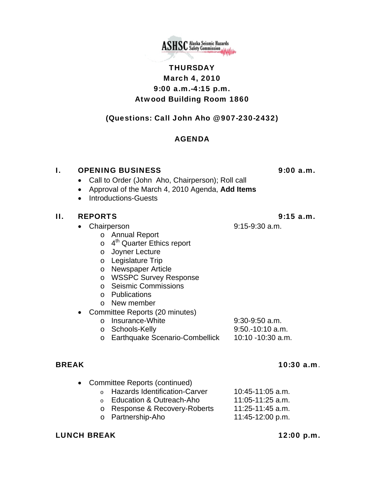

# THURSDAY March 4, 2010 9:00 a.m.-4:15 p.m. Atwood Building Room 1860

## (Questions: Call John Aho @ 907-230-2432)

### AGENDA

### I. OPENING BUSINESS 9:00 a.m.

- Call to Order (John Aho, Chairperson); Roll call
- Approval of the March 4, 2010 Agenda, **Add Items**
- Introductions-Guests

### II. REPORTS 9:15 a.m.

- Chairperson 9:15-9:30 a.m.
	- o Annual Report
	- $\circ$  4<sup>th</sup> Quarter Ethics report
	- o Joyner Lecture
	- o Legislature Trip
	- o Newspaper Article
	- o WSSPC Survey Response
	- o Seismic Commissions
	- o Publications
	- o New member
- Committee Reports (20 minutes)
	- o Insurance-White 9:30-9:50 a.m.
	- o Schools-Kelly 9:50.-10:10 a.m.<br>
	o Earthquake Scenario-Combellick 10:10 -10:30 a.m. o Earthquake Scenario-Combellick

### BREAK 10:30 a.m.

• Committee Reports (continued)  $\degree$  Hazards Identification-Carver 10:45-11:05 a.m. o Education & Outreach-Aho 11:05-11:25 a.m. o Response & Recovery-Roberts 11:25-11:45 a.m. o Partnership-Aho 11:45-12:00 p.m.

### LUNCH BREAK 12:00 p.m.